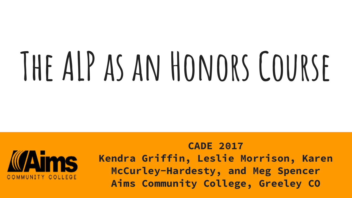# **The ALP as an Honors Course**



**CADE 2017 Kendra Griffin, Leslie Morrison, Karen McCurley-Hardesty, and Meg Spencer Aims Community College, Greeley CO**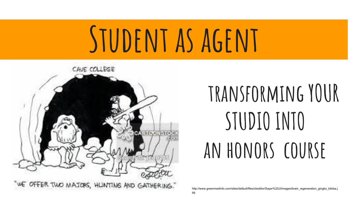## STUDENT AS AGENT



### **transforming YOUR STUDIO INTO an honors course**

http://www.greenmedinfo.com/sites/default/files/ckeditor/Sayer%20Ji/images/brain\_regeneration\_gingko\_biloba.j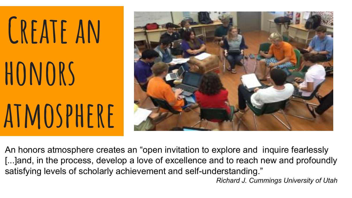# **Create an honors atmosphere**



An honors atmosphere creates an "open invitation to explore and inquire fearlessly [...]and, in the process, develop a love of excellence and to reach new and profoundly satisfying levels of scholarly achievement and self-understanding."

*Richard J. Cummings University of Utah*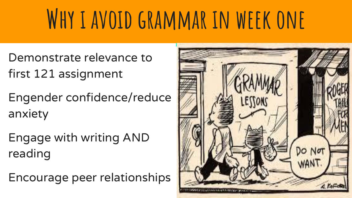### **Why i avoid grammar in week one**

- Demonstrate relevance to first 121 assignment
- Engender confidence/reduce anxiety
- Engage with writing AND reading
- Encourage peer relationships

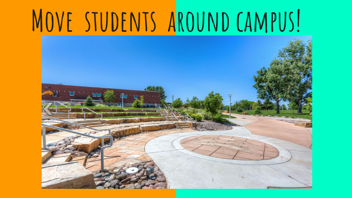### **Move students around campus!**

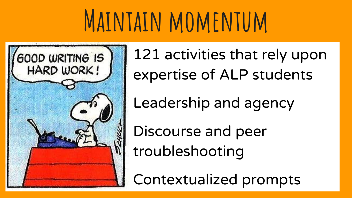### **Maintain momentum**



121 activities that rely upon expertise of ALP students

Leadership and agency

Discourse and peer troubleshooting

Contextualized prompts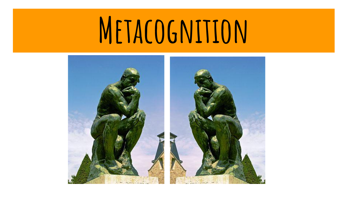## **Metacognition**

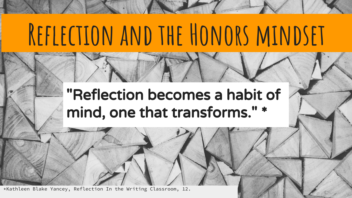### **Reflection and the Honors mindset**

#### "Reflection becomes a habit of mind, one that transforms." \*

\*Kathleen Blake Yancey, Reflection In the Writing Classroom, 12.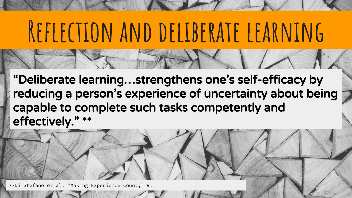### **Reflection and deliberate learning**

"Deliberate learning…strengthens one's self-efficacy by reducing a person's experience of uncertainty about being capable to complete such tasks competently and effectively." \*\*

\*\*Di Stefano et al, "Making Experience Count," 9.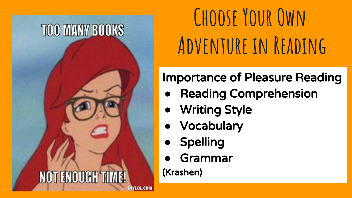#### **TOO MANY BOOKS**

#### **NOT ENOUGH TI** DIYLOL.COI

**Choose Your Own Adventure in Reading**

#### Importance of Pleasure Reading

- **●** Reading Comprehension
- **●** Writing Style
- **●** Vocabulary
- **●** Spelling
- **●** Grammar

(Krashen)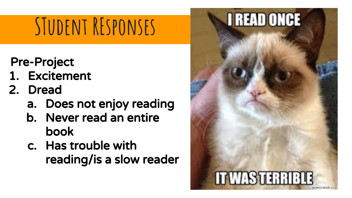### **STudent REsponses**

- Pre-Project
- 1. Excitement
- 2. Dread
	- a. Does not enjoy reading
	- b. Never read an entire book
	- c. Has trouble with reading/is a slow reader

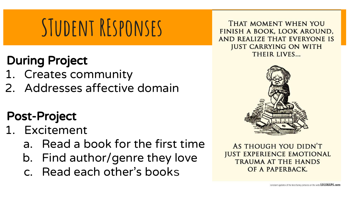### **STudent REsponses**

#### During Project

- 1. Creates community
- 2. Addresses affective domain

#### Post-Project

- 1. Excitement
	- a. Read a book for the first time
	- b. Find author/genre they love
	- c. Read each other's books

THAT MOMENT WHEN YOU FINISH A BOOK, LOOK AROUND, AND REALIZE THAT EVERYONE IS **JUST CARRYING ON WITH** THEIR LIVES...



AS THOUGH YOU DIDN'T **JUST EXPERIENCE EMOTIONAL TRAUMA AT THE HANDS** OF A PAPERBACK.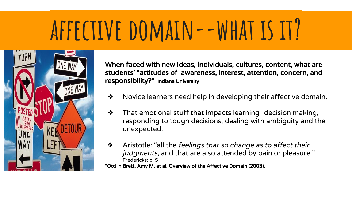### **affective domain--what is it?**



When faced with new ideas, individuals, cultures, content, what are students' "attitudes of awareness, interest, attention, concern, and responsibility?" Indiana University

- ❖ Novice learners need help in developing their affective domain.
- $\cdot$  That emotional stuff that impacts learning- decision making, responding to tough decisions, dealing with ambiguity and the unexpected.
- ❖ Aristotle: "all the feelings that so change as to affect their judgments, and that are also attended by pain or pleasure." Fredericks: p. 5 \*Qtd in Brett, Amy M. et al. Overview of the Affective Domain (2003).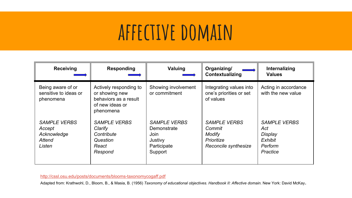### **affective domain**

| <b>Receiving</b>                                                 | <b>Responding</b>                                                                                 | Valuing                                                                         | Organizing/<br>Contextualizing                                                | Internalizing<br><b>Values</b>                                          |
|------------------------------------------------------------------|---------------------------------------------------------------------------------------------------|---------------------------------------------------------------------------------|-------------------------------------------------------------------------------|-------------------------------------------------------------------------|
| Being aware of or<br>sensitive to ideas or<br>phenomena          | Actively responding to<br>or showing new<br>behaviors as a result<br>of new ideas or<br>phenomena | Showing involvement<br>or commitment                                            | Integrating values into<br>one's priorities or set<br>of values               | Acting in accordance<br>with the new value                              |
| <b>SAMPLE VERBS</b><br>Accept<br>Acknowledge<br>Attend<br>Listen | <b>SAMPLE VERBS</b><br>Clarify<br>Contribute<br>Question<br>React<br>Respond                      | <b>SAMPLE VERBS</b><br>Demonstrate<br>Join<br>Justivy<br>Participate<br>Support | <b>SAMPLE VERBS</b><br>Commit<br>Modify<br>Prioritize<br>Reconcile synthesize | <b>SAMPLE VERBS</b><br>Act<br>Display<br>Exhibit<br>Perform<br>Practice |

<http://cssl.osu.edu/posts/documents/blooms-taxonomycogaff.pdf>

Adapted from: Krathwohl, D., Bloom, B., & Masia, B. (1956) *Taxonomy of educational objectives. Handbook II: Affective domain*. New York: David McKay.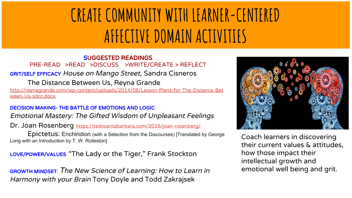### **CREATE COMMUNITY WITH LEARNER-CENTERED AFFECTIVE DOMAIN ACTIVITIES**

#### SUGGESTED READINGS PRE-READ >READ >DISCUSS >WRITE/CREATE > REFLECT GRIT/SELF EFFICACY House on Mango Street, Sandra Cisneros

The Distance Between Us, Reyna Grande

[http://reynagrande.com/wp-content/uploads/2014/08/Lesson-Plans-for-The-Distance-Bet](http://reynagrande.com/wp-content/uploads/2014/08/Lesson-Plans-for-The-Distance-Between-Us-sdcc.docx) [ween-Us-sdcc.docx](http://reynagrande.com/wp-content/uploads/2014/08/Lesson-Plans-for-The-Distance-Between-Us-sdcc.docx)

#### DECISION MAKING- THE BATTLE OF EMOTIONS AND LOGIC

Emotional Mastery: The Gifted Wisdom of Unpleasant Feelings

Dr. Joan Rosenberg <https://tedxsantabarbara.com/2016/joan-rosenberg/>

Epictetus: Enchiridion (with a Selection from the Discourses) [Translated by George Long with an Introduction by T. W. Rolleston]

LOVE/POWER/VALUES "The Lady or the Tiger," Frank Stockton

GROWTH MINDSET: The New Science of Learning: How to Learn in Harmony with your Brain Tony Doyle and Todd Zakrajsek



Coach learners in discovering their current values & attitudes, how those impact their intellectual growth and emotional well being and grit.